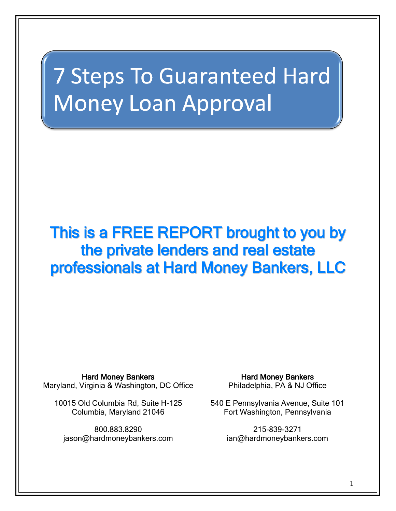# **7 Steps To Guaranteed Hard Money Loan Approval**

## This is a FREE REPORT brought to you by the private lenders and real estate professionals at Hard Money Bankers, LLC

Hard Money Bankers Maryland, Virginia & Washington, DC Office

10015 Old Columbia Rd, Suite H-125 Columbia, Maryland 21046

800.883.8290 jason@hardmoneybankers.com

Hard Money Bankers Philadelphia, PA & NJ Office

540 E Pennsylvania Avenue, Suite 101 Fort Washington, Pennsylvania

> 215-839-3271 ian@hardmoneybankers.com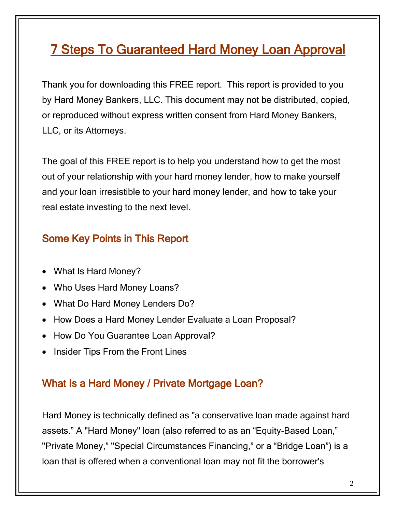### 7 Steps To Guaranteed Hard Money Loan Approval

Thank you for downloading this FREE report. This report is provided to you by Hard Money Bankers, LLC. This document may not be distributed, copied, or reproduced without express written consent from Hard Money Bankers, LLC, or its Attorneys.

The goal of this FREE report is to help you understand how to get the most out of your relationship with your hard money lender, how to make yourself and your loan irresistible to your hard money lender, and how to take your real estate investing to the next level.

#### Some Key Points in This Report

- What Is Hard Money?
- Who Uses Hard Money Loans?
- What Do Hard Money Lenders Do?
- How Does a Hard Money Lender Evaluate a Loan Proposal?
- How Do You Guarantee Loan Approval?
- Insider Tips From the Front Lines

#### What Is a Hard Money / Private Mortgage Loan?

Hard Money is technically defined as "a conservative loan made against hard assets." A "Hard Money" loan (also referred to as an "Equity-Based Loan," "Private Money," "Special Circumstances Financing," or a "Bridge Loan") is a loan that is offered when a conventional loan may not fit the borrower's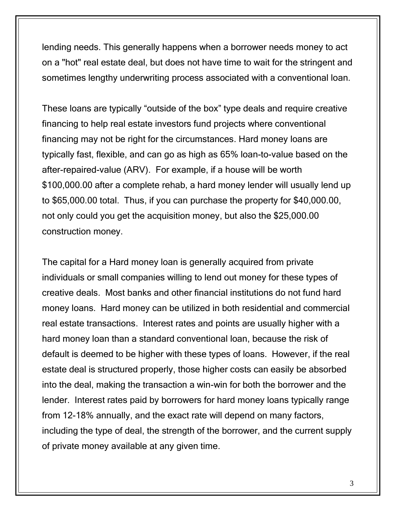lending needs. This generally happens when a borrower needs money to act on a "hot" real estate deal, but does not have time to wait for the stringent and sometimes lengthy underwriting process associated with a conventional loan.

These loans are typically "outside of the box" type deals and require creative financing to help real estate investors fund projects where conventional financing may not be right for the circumstances. Hard money loans are typically fast, flexible, and can go as high as 65% loan-to-value based on the after-repaired-value (ARV). For example, if a house will be worth \$100,000.00 after a complete rehab, a hard money lender will usually lend up to \$65,000.00 total. Thus, if you can purchase the property for \$40,000.00, not only could you get the acquisition money, but also the \$25,000.00 construction money.

The capital for a Hard money loan is generally acquired from private individuals or small companies willing to lend out money for these types of creative deals. Most banks and other financial institutions do not fund hard money loans. Hard money can be utilized in both residential and commercial real estate transactions. Interest rates and points are usually higher with a hard money loan than a standard conventional loan, because the risk of default is deemed to be higher with these types of loans. However, if the real estate deal is structured properly, those higher costs can easily be absorbed into the deal, making the transaction a win-win for both the borrower and the lender. Interest rates paid by borrowers for hard money loans typically range from 12-18% annually, and the exact rate will depend on many factors, including the type of deal, the strength of the borrower, and the current supply of private money available at any given time.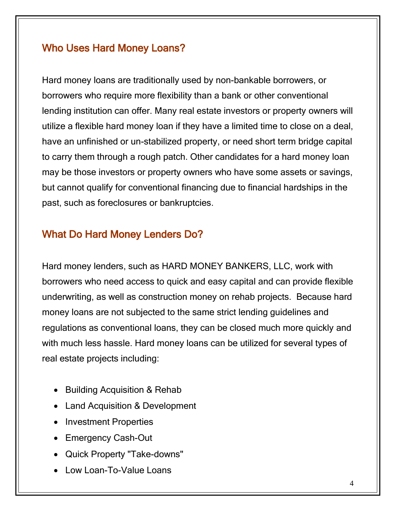#### Who Uses Hard Money Loans?

Hard money loans are traditionally used by non-bankable borrowers, or borrowers who require more flexibility than a bank or other conventional lending institution can offer. Many real estate investors or property owners will utilize a flexible hard money loan if they have a limited time to close on a deal, have an unfinished or un-stabilized property, or need short term bridge capital to carry them through a rough patch. Other candidates for a hard money loan may be those investors or property owners who have some assets or savings, but cannot qualify for conventional financing due to financial hardships in the past, such as foreclosures or bankruptcies.

#### What Do Hard Money Lenders Do?

Hard money lenders, such as HARD MONEY BANKERS, LLC, work with borrowers who need access to quick and easy capital and can provide flexible underwriting, as well as construction money on rehab projects. Because hard money loans are not subjected to the same strict lending guidelines and regulations as conventional loans, they can be closed much more quickly and with much less hassle. Hard money loans can be utilized for several types of real estate projects including:

- Building Acquisition & Rehab
- Land Acquisition & Development
- Investment Properties
- Emergency Cash-Out
- Quick Property "Take-downs"
- Low Loan-To-Value Loans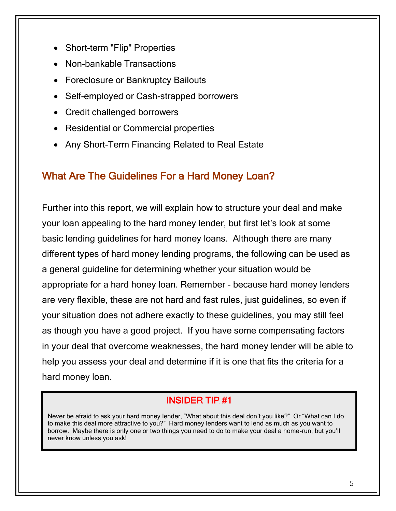- Short-term "Flip" Properties
- Non-bankable Transactions
- Foreclosure or Bankruptcy Bailouts
- Self-employed or Cash-strapped borrowers
- Credit challenged borrowers
- Residential or Commercial properties
- Any Short-Term Financing Related to Real Estate

#### What Are The Guidelines For a Hard Money Loan?

Further into this report, we will explain how to structure your deal and make your loan appealing to the hard money lender, but first let's look at some basic lending guidelines for hard money loans. Although there are many different types of hard money lending programs, the following can be used as a general guideline for determining whether your situation would be appropriate for a hard honey loan. Remember - because hard money lenders are very flexible, these are not hard and fast rules, just guidelines, so even if your situation does not adhere exactly to these guidelines, you may still feel as though you have a good project. If you have some compensating factors in your deal that overcome weaknesses, the hard money lender will be able to help you assess your deal and determine if it is one that fits the criteria for a hard money loan.

#### INSIDER TIP #1

Never be afraid to ask your hard money lender, "What about this deal don't you like?" Or "What can I do to make this deal more attractive to you?" Hard money lenders want to lend as much as you want to borrow. Maybe there is only one or two things you need to do to make your deal a home-run, but you'll never know unless you ask!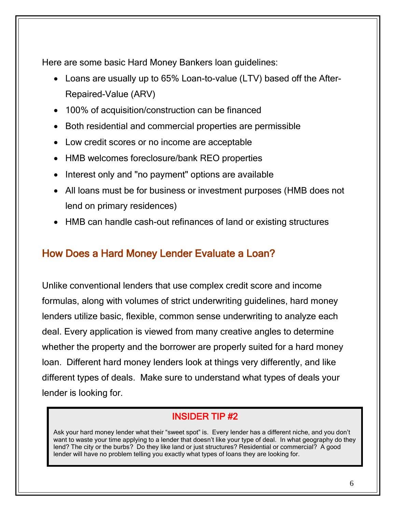Here are some basic Hard Money Bankers loan guidelines:

- Loans are usually up to 65% Loan-to-value (LTV) based off the After-Repaired-Value (ARV)
- 100% of acquisition/construction can be financed
- Both residential and commercial properties are permissible
- Low credit scores or no income are acceptable
- HMB welcomes foreclosure/bank REO properties
- Interest only and "no payment" options are available
- All loans must be for business or investment purposes (HMB does not lend on primary residences)
- HMB can handle cash-out refinances of land or existing structures

#### How Does a Hard Money Lender Evaluate a Loan?

Unlike conventional lenders that use complex credit score and income formulas, along with volumes of strict underwriting guidelines, hard money lenders utilize basic, flexible, common sense underwriting to analyze each deal. Every application is viewed from many creative angles to determine whether the property and the borrower are properly suited for a hard money loan. Different hard money lenders look at things very differently, and like different types of deals. Make sure to understand what types of deals your lender is looking for.

#### INSIDER TIP #2

Ask your hard money lender what their "sweet spot" is. Every lender has a different niche, and you don't want to waste your time applying to a lender that doesn't like your type of deal. In what geography do they lend? The city or the burbs? Do they like land or just structures? Residential or commercial? A good lender will have no problem telling you exactly what types of loans they are looking for.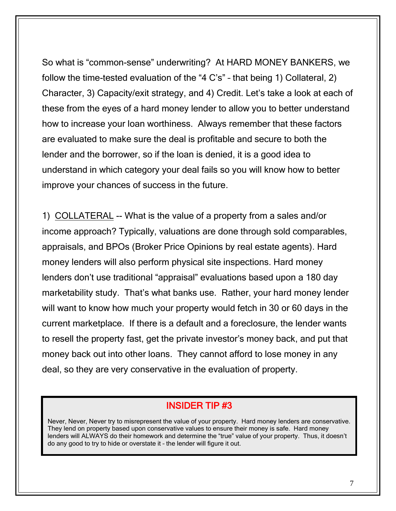So what is "common-sense" underwriting? At HARD MONEY BANKERS, we follow the time-tested evaluation of the "4 C's" – that being 1) Collateral, 2) Character, 3) Capacity/exit strategy, and 4) Credit. Let's take a look at each of these from the eyes of a hard money lender to allow you to better understand how to increase your loan worthiness. Always remember that these factors are evaluated to make sure the deal is profitable and secure to both the lender and the borrower, so if the loan is denied, it is a good idea to understand in which category your deal fails so you will know how to better improve your chances of success in the future.

1) COLLATERAL -- What is the value of a property from a sales and/or income approach? Typically, valuations are done through sold comparables, appraisals, and BPOs (Broker Price Opinions by real estate agents). Hard money lenders will also perform physical site inspections. Hard money lenders don't use traditional "appraisal" evaluations based upon a 180 day marketability study. That's what banks use. Rather, your hard money lender will want to know how much your property would fetch in 30 or 60 days in the current marketplace. If there is a default and a foreclosure, the lender wants to resell the property fast, get the private investor's money back, and put that money back out into other loans. They cannot afford to lose money in any deal, so they are very conservative in the evaluation of property.

#### INSIDER TIP #3

Never, Never, Never try to misrepresent the value of your property. Hard money lenders are conservative. They lend on property based upon conservative values to ensure their money is safe. Hard money lenders will ALWAYS do their homework and determine the "true" value of your property. Thus, it doesn't do any good to try to hide or overstate it – the lender will figure it out.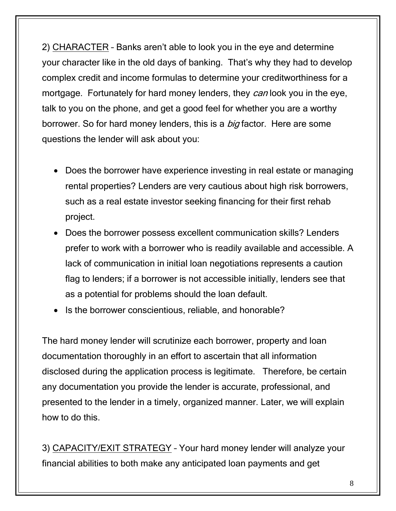2) CHARACTER – Banks aren't able to look you in the eye and determine your character like in the old days of banking. That's why they had to develop complex credit and income formulas to determine your creditworthiness for a mortgage. Fortunately for hard money lenders, they can look you in the eye, talk to you on the phone, and get a good feel for whether you are a worthy borrower. So for hard money lenders, this is a *big* factor. Here are some questions the lender will ask about you:

- Does the borrower have experience investing in real estate or managing rental properties? Lenders are very cautious about high risk borrowers, such as a real estate investor seeking financing for their first rehab project.
- Does the borrower possess excellent communication skills? Lenders prefer to work with a borrower who is readily available and accessible. A lack of communication in initial loan negotiations represents a caution flag to lenders; if a borrower is not accessible initially, lenders see that as a potential for problems should the loan default.
- Is the borrower conscientious, reliable, and honorable?

The hard money lender will scrutinize each borrower, property and loan documentation thoroughly in an effort to ascertain that all information disclosed during the application process is legitimate. Therefore, be certain any documentation you provide the lender is accurate, professional, and presented to the lender in a timely, organized manner. Later, we will explain how to do this.

3) CAPACITY/EXIT STRATEGY – Your hard money lender will analyze your financial abilities to both make any anticipated loan payments and get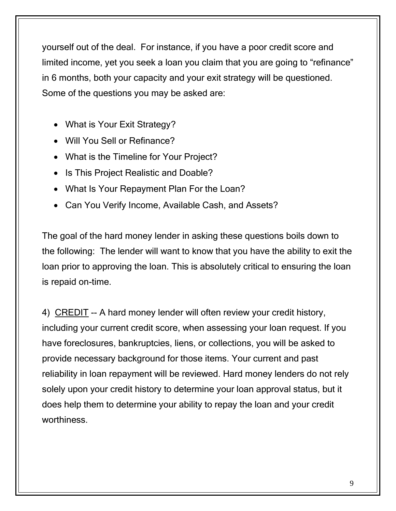yourself out of the deal. For instance, if you have a poor credit score and limited income, yet you seek a loan you claim that you are going to "refinance" in 6 months, both your capacity and your exit strategy will be questioned. Some of the questions you may be asked are:

- What is Your Exit Strategy?
- Will You Sell or Refinance?
- What is the Timeline for Your Project?
- Is This Project Realistic and Doable?
- What Is Your Repayment Plan For the Loan?
- Can You Verify Income, Available Cash, and Assets?

The goal of the hard money lender in asking these questions boils down to the following: The lender will want to know that you have the ability to exit the loan prior to approving the loan. This is absolutely critical to ensuring the loan is repaid on-time.

4) CREDIT -- A hard money lender will often review your credit history, including your current credit score, when assessing your loan request. If you have foreclosures, bankruptcies, liens, or collections, you will be asked to provide necessary background for those items. Your current and past reliability in loan repayment will be reviewed. Hard money lenders do not rely solely upon your credit history to determine your loan approval status, but it does help them to determine your ability to repay the loan and your credit worthiness.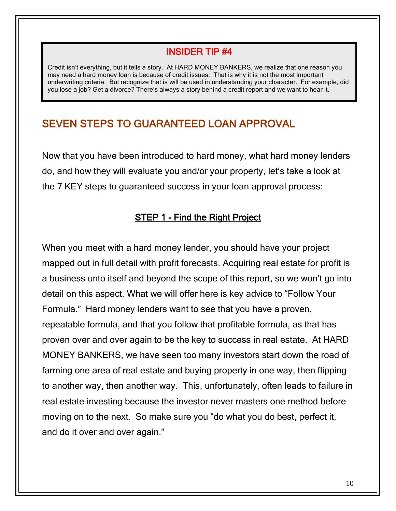#### INSIDER TIP #4

Credit isn't everything, but it tells a story. At HARD MONEY BANKERS, we realize that one reason you may need a hard money loan is because of credit issues. That is why it is not the most important underwriting criteria. But recognize that is will be used in understanding your character. For example, did you lose a job? Get a divorce? There's always a story behind a credit report and we want to hear it.

#### SEVEN STEPS TO GUARANTEED LOAN APPROVAL

Now that you have been introduced to hard money, what hard money lenders do, and how they will evaluate you and/or your property, let's take a look at the 7 KEY steps to guaranteed success in your loan approval process:

#### STEP 1 - Find the Right Project

When you meet with a hard money lender, you should have your project mapped out in full detail with profit forecasts. Acquiring real estate for profit is a business unto itself and beyond the scope of this report, so we won't go into detail on this aspect. What we will offer here is key advice to "Follow Your Formula." Hard money lenders want to see that you have a proven, repeatable formula, and that you follow that profitable formula, as that has proven over and over again to be the key to success in real estate. At HARD MONEY BANKERS, we have seen too many investors start down the road of farming one area of real estate and buying property in one way, then flipping to another way, then another way. This, unfortunately, often leads to failure in real estate investing because the investor never masters one method before moving on to the next. So make sure you "do what you do best, perfect it, and do it over and over again."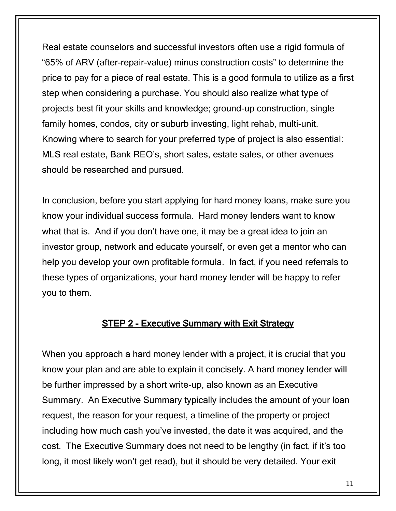Real estate counselors and successful investors often use a rigid formula of "65% of ARV (after-repair-value) minus construction costs" to determine the price to pay for a piece of real estate. This is a good formula to utilize as a first step when considering a purchase. You should also realize what type of projects best fit your skills and knowledge; ground-up construction, single family homes, condos, city or suburb investing, light rehab, multi-unit. Knowing where to search for your preferred type of project is also essential: MLS real estate, Bank REO's, short sales, estate sales, or other avenues should be researched and pursued.

In conclusion, before you start applying for hard money loans, make sure you know your individual success formula. Hard money lenders want to know what that is. And if you don't have one, it may be a great idea to join an investor group, network and educate yourself, or even get a mentor who can help you develop your own profitable formula. In fact, if you need referrals to these types of organizations, your hard money lender will be happy to refer you to them.

#### STEP 2 - Executive Summary with Exit Strategy

When you approach a hard money lender with a project, it is crucial that you know your plan and are able to explain it concisely. A hard money lender will be further impressed by a short write-up, also known as an Executive Summary. An Executive Summary typically includes the amount of your loan request, the reason for your request, a timeline of the property or project including how much cash you've invested, the date it was acquired, and the cost. The Executive Summary does not need to be lengthy (in fact, if it's too long, it most likely won't get read), but it should be very detailed. Your exit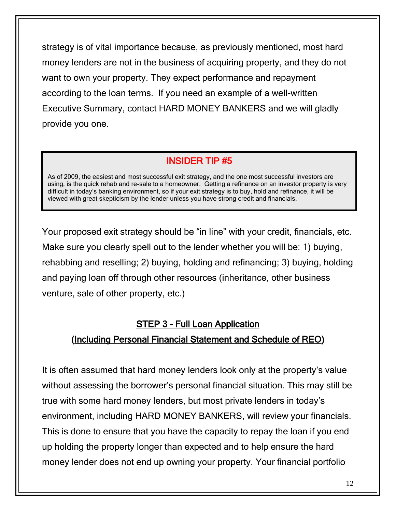strategy is of vital importance because, as previously mentioned, most hard money lenders are not in the business of acquiring property, and they do not want to own your property. They expect performance and repayment according to the loan terms. If you need an example of a well-written Executive Summary, contact HARD MONEY BANKERS and we will gladly provide you one.

#### INSIDER TIP #5

As of 2009, the easiest and most successful exit strategy, and the one most successful investors are using, is the quick rehab and re-sale to a homeowner. Getting a refinance on an investor property is very difficult in today's banking environment, so if your exit strategy is to buy, hold and refinance, it will be viewed with great skepticism by the lender unless you have strong credit and financials.

Your proposed exit strategy should be "in line" with your credit, financials, etc. Make sure you clearly spell out to the lender whether you will be: 1) buying, rehabbing and reselling; 2) buying, holding and refinancing; 3) buying, holding and paying loan off through other resources (inheritance, other business venture, sale of other property, etc.)

#### STEP 3 - Full Loan Application

#### (Including Personal Financial Statement and Schedule of REO)

It is often assumed that hard money lenders look only at the property's value without assessing the borrower's personal financial situation. This may still be true with some hard money lenders, but most private lenders in today's environment, including HARD MONEY BANKERS, will review your financials. This is done to ensure that you have the capacity to repay the loan if you end up holding the property longer than expected and to help ensure the hard money lender does not end up owning your property. Your financial portfolio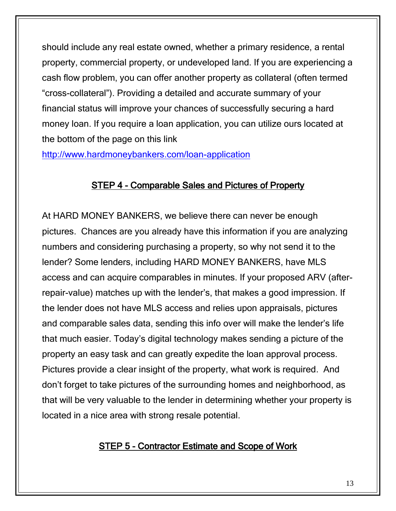should include any real estate owned, whether a primary residence, a rental property, commercial property, or undeveloped land. If you are experiencing a cash flow problem, you can offer another property as collateral (often termed "cross-collateral"). Providing a detailed and accurate summary of your financial status will improve your chances of successfully securing a hard money loan. If you require a loan application, you can utilize ours located at the bottom of the page on this link

<http://www.hardmoneybankers.com/loan-application>

#### STEP 4 - Comparable Sales and Pictures of Property

At HARD MONEY BANKERS, we believe there can never be enough pictures. Chances are you already have this information if you are analyzing numbers and considering purchasing a property, so why not send it to the lender? Some lenders, including HARD MONEY BANKERS, have MLS access and can acquire comparables in minutes. If your proposed ARV (afterrepair-value) matches up with the lender's, that makes a good impression. If the lender does not have MLS access and relies upon appraisals, pictures and comparable sales data, sending this info over will make the lender's life that much easier. Today's digital technology makes sending a picture of the property an easy task and can greatly expedite the loan approval process. Pictures provide a clear insight of the property, what work is required. And don't forget to take pictures of the surrounding homes and neighborhood, as that will be very valuable to the lender in determining whether your property is located in a nice area with strong resale potential.

#### STEP 5 - Contractor Estimate and Scope of Work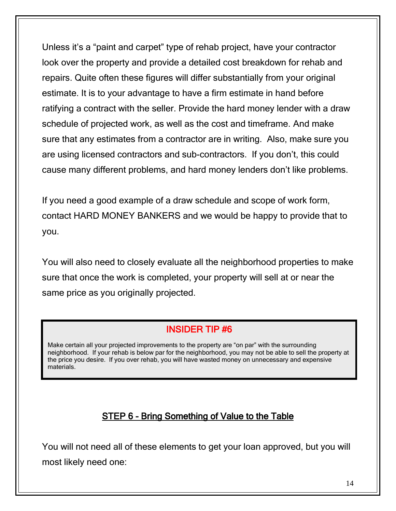Unless it's a "paint and carpet" type of rehab project, have your contractor look over the property and provide a detailed cost breakdown for rehab and repairs. Quite often these figures will differ substantially from your original estimate. It is to your advantage to have a firm estimate in hand before ratifying a contract with the seller. Provide the hard money lender with a draw schedule of projected work, as well as the cost and timeframe. And make sure that any estimates from a contractor are in writing. Also, make sure you are using licensed contractors and sub-contractors. If you don't, this could cause many different problems, and hard money lenders don't like problems.

If you need a good example of a draw schedule and scope of work form, contact HARD MONEY BANKERS and we would be happy to provide that to you.

You will also need to closely evaluate all the neighborhood properties to make sure that once the work is completed, your property will sell at or near the same price as you originally projected.

#### INSIDER TIP #6

Make certain all your projected improvements to the property are "on par" with the surrounding neighborhood. If your rehab is below par for the neighborhood, you may not be able to sell the property at the price you desire. If you over rehab, you will have wasted money on unnecessary and expensive materials.

#### STEP 6 - Bring Something of Value to the Table

You will not need all of these elements to get your loan approved, but you will most likely need one: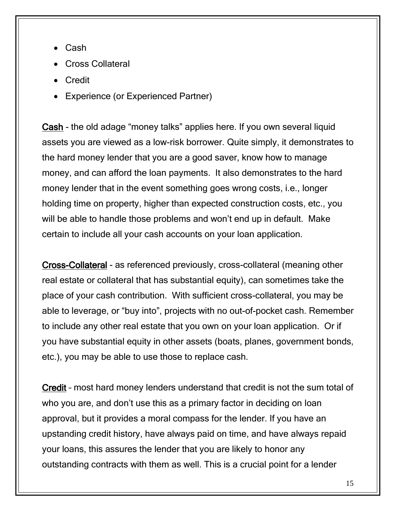- Cash
- Cross Collateral
- Credit
- Experience (or Experienced Partner)

Cash - the old adage "money talks" applies here. If you own several liquid assets you are viewed as a low-risk borrower. Quite simply, it demonstrates to the hard money lender that you are a good saver, know how to manage money, and can afford the loan payments. It also demonstrates to the hard money lender that in the event something goes wrong costs, i.e., longer holding time on property, higher than expected construction costs, etc., you will be able to handle those problems and won't end up in default. Make certain to include all your cash accounts on your loan application.

Cross-Collateral - as referenced previously, cross-collateral (meaning other real estate or collateral that has substantial equity), can sometimes take the place of your cash contribution. With sufficient cross-collateral, you may be able to leverage, or "buy into", projects with no out-of-pocket cash. Remember to include any other real estate that you own on your loan application. Or if you have substantial equity in other assets (boats, planes, government bonds, etc.), you may be able to use those to replace cash.

Credit – most hard money lenders understand that credit is not the sum total of who you are, and don't use this as a primary factor in deciding on loan approval, but it provides a moral compass for the lender. If you have an upstanding credit history, have always paid on time, and have always repaid your loans, this assures the lender that you are likely to honor any outstanding contracts with them as well. This is a crucial point for a lender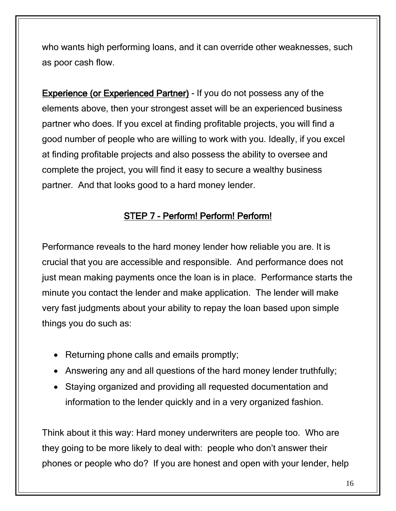who wants high performing loans, and it can override other weaknesses, such as poor cash flow.

Experience (or Experienced Partner) - If you do not possess any of the elements above, then your strongest asset will be an experienced business partner who does. If you excel at finding profitable projects, you will find a good number of people who are willing to work with you. Ideally, if you excel at finding profitable projects and also possess the ability to oversee and complete the project, you will find it easy to secure a wealthy business partner. And that looks good to a hard money lender.

#### STEP 7 - Perform! Perform! Perform!

Performance reveals to the hard money lender how reliable you are. It is crucial that you are accessible and responsible. And performance does not just mean making payments once the loan is in place. Performance starts the minute you contact the lender and make application. The lender will make very fast judgments about your ability to repay the loan based upon simple things you do such as:

- Returning phone calls and emails promptly;
- Answering any and all questions of the hard money lender truthfully;
- Staying organized and providing all requested documentation and information to the lender quickly and in a very organized fashion.

Think about it this way: Hard money underwriters are people too. Who are they going to be more likely to deal with: people who don't answer their phones or people who do? If you are honest and open with your lender, help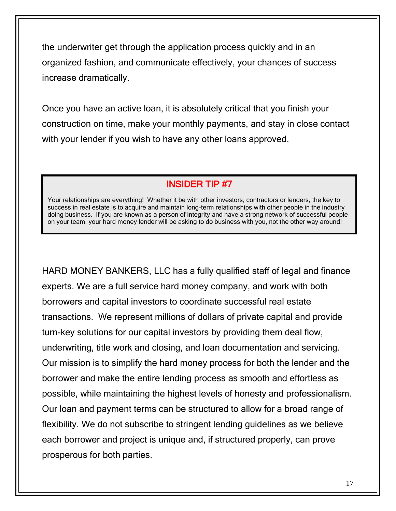the underwriter get through the application process quickly and in an organized fashion, and communicate effectively, your chances of success increase dramatically.

Once you have an active loan, it is absolutely critical that you finish your construction on time, make your monthly payments, and stay in close contact with your lender if you wish to have any other loans approved.

#### INSIDER TIP #7

Your relationships are everything! Whether it be with other investors, contractors or lenders, the key to success in real estate is to acquire and maintain long-term relationships with other people in the industry doing business. If you are known as a person of integrity and have a strong network of successful people on your team, your hard money lender will be asking to do business with you, not the other way around!

HARD MONEY BANKERS, LLC has a fully qualified staff of legal and finance experts. We are a full service hard money company, and work with both borrowers and capital investors to coordinate successful real estate transactions. We represent millions of dollars of private capital and provide turn-key solutions for our capital investors by providing them deal flow, underwriting, title work and closing, and loan documentation and servicing. Our mission is to simplify the hard money process for both the lender and the borrower and make the entire lending process as smooth and effortless as possible, while maintaining the highest levels of honesty and professionalism. Our loan and payment terms can be structured to allow for a broad range of flexibility. We do not subscribe to stringent lending guidelines as we believe each borrower and project is unique and, if structured properly, can prove prosperous for both parties.